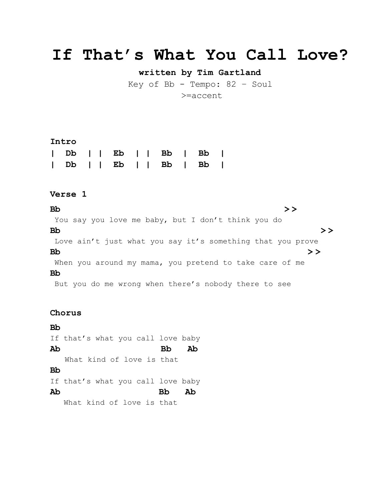# **If That's What You Call Love?**

**written by Tim Gartland**

Key of Bb - Tempo: 82 – Soul >=accent

#### **Intro**

|  |  |  |  | Db     Eb     Bb   Bb |  |
|--|--|--|--|-----------------------|--|
|  |  |  |  | Db     Eb     Bb   Bb |  |

## **Verse 1**

**Bb > >** You say you love me baby, but I don't think you do **Bb > >** Love ain't just what you say it's something that you prove **Bb > >** When you around my mama, you pretend to take care of me **Bb** But you do me wrong when there's nobody there to see

### **Chorus**

**Bb** If that's what you call love baby **Ab Bb Ab** What kind of love is that **Bb** If that's what you call love baby **Ab Bb Ab** What kind of love is that